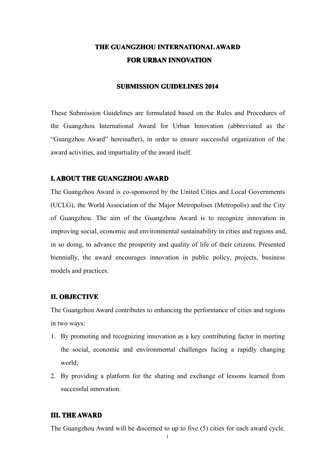# **THE GUANGZHOU INTERNATIONAL AWARD FOR URBAN INNOVATION INNOVATION**

### **SUBMISSION GUIDELINES 2014**

These Submission Guidelines are formulated based on the Rules and Procedures of the Guangzhou International Award for Urban Innovation (abbreviated as the "Guangzhou Award" hereinafter), in order to ensure successful organization of the award activities, and impartiality of the award itself.

### **I. ABOUT THE GUANGZHOU AWARD**

The Guangzhou Award is co-sponsored by the United Cities and Local Governments (UCLG), the World Association of the Major Metropolises (Metropolis) and the City of Guangzhou. The aim of the Guangzhou Award is to recognize innovation in improving social, economic and environmental sustainability in cities and regions and, in so doing, to advance the prosperity and quality of life of their citizens. Presented biennially, the award encourages innovation in public policy, projects, business models and practices.

#### **II. OBJECTIVE**

The Guangzhou Award contributes to enhancing the performance of cities and regions in two ways:

- 1. By promoting and recognizing innovation as <sup>a</sup> key contributing factor in meeting the social, economic and environmental challenges facing <sup>a</sup> rapidly changing world;
- 2. By providing <sup>a</sup> platform for the sharing and exchange of lessons learned from successful innovation.

### **III. THE AWARD**

The Guangzhou Award will be discerned to up to five (5) cities for each award cycle.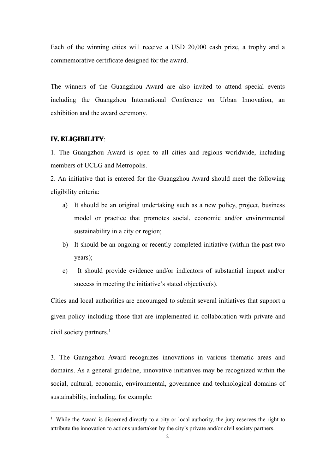Each of the winning cities will receive <sup>a</sup> USD 20,000 cash prize, <sup>a</sup> trophy and <sup>a</sup> commemorative certificate designed for the award.

The winners of the Guangzhou Award are also invited to attend special events including the Guangzhou International Conference on Urban Innovation, an exhibition and the award ceremony.

## **IV. ELIGIBILITY**

1. The Guangzhou Award is open to all cities and regions worldwide, including members of UCLG and Metropolis.

2. An initiative that is entered for the Guangzhou Award should meet the following eligibility criteria:

- a) It should be an original undertaking such as <sup>a</sup> new policy, project, business model or practice that promotes social, economic and/or environmental sustainability in <sup>a</sup> city or region;
- b) It should be an ongoing or recently completed initiative (within the pas<sup>t</sup> two years);
- c) It should provide evidence and/or indicators of substantial impact and/or success in meeting the initiative's stated objective(s).

Cities and local authorities are encouraged to submit several initiatives that suppor<sup>t</sup> <sup>a</sup> given policy including those that are implemented in collaboration with private and civil society partners.<sup>[1](#page-1-0)</sup>

3. The Guangzhou Award recognizes innovations in various thematic areas and domains. As <sup>a</sup> general guideline, innovative initiatives may be recognized within the social, cultural, economic, environmental, governance and technological domains of sustainability, including, for example:

<span id="page-1-0"></span><sup>&</sup>lt;sup>1</sup> While the Award is discerned directly to a city or local authority, the jury reserves the right to attribute the innovation to actions undertaken by the city's private and/or civil society partners.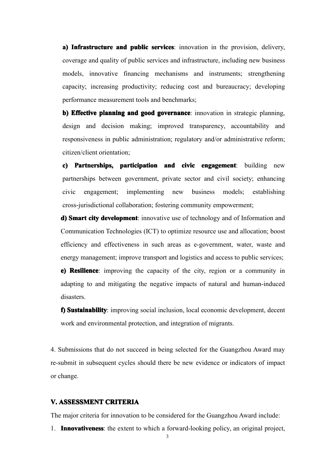**a) Infrastructure and public services**: innovation in the provision, delivery, coverage and quality of public services and infrastructure, including new business models, innovative financing mechanisms and instruments; strengthening capacity; increasing productivity; reducing cost and bureaucracy; developing performance measurement tools and benchmarks;

**b) Effective planning and good governance**: innovation in strategic planning, design and decision making; improved transparency, accountability and responsiveness in public administration; regulatory and/or administrative reform; citizen/client orientation;

**c) Partnerships, participation participationand civic engagemen<sup>t</sup> engagement**: building new partnerships between government, private sector and civil society; enhancing civic engagement; implementing new business models; establishing cross-jurisdictional collaboration; fostering community empowerment;

**d) Smart city development**: innovative use of technology and of Information and Communication Technologies (ICT) to optimize resource use and allocation; boost efficiency and effectiveness in such areas as e-government, water, waste and energy management; improve transport and logistics and access to public services;

**e) Resilience**: improving the capacity of the city, region or a community in adapting to and mitigating the negative impacts of natural and human-induced disasters.

**f) Sustainability**: improving social inclusion, local economic development, decent work and environmental protection, and integration of migrants.

4. Submissions that do not succeed in being selected for the Guangzhou Award may re-submit in subsequent cycles should there be new evidence or indicators of impact or change.

## **V. ASSESSMENT ASSESSMENT CRITERIA CRITERIA CRITERIACRITERIA**

The major criteria for innovation to be considered for the Guangzhou Award include:

1. **Innovativeness**: the extent to which a forward-looking policy, an original project,

3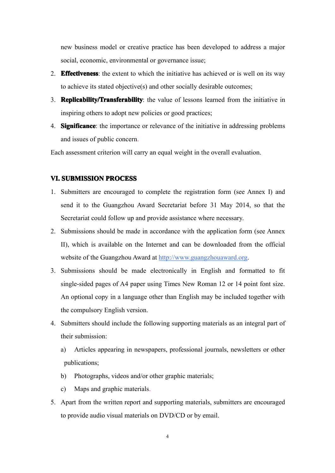new business model or creative practice has been developed to address <sup>a</sup> major social, economic, environmental or governance issue;

- 2. **Effectiveness**: the extent to which the initiative has achieved or is well on its way to achieve its stated objective(s) and other socially desirable outcomes;
- 3. **Replicability/Transferability**: the value of lessons learned from the initiative in inspiring others to adopt new policies or good practices;
- 4. **Significance**: the importance or relevance of the initiative in addressing problems and issues of public concern.

Each assessment criterion will carry an equal weight in the overall evaluation.

## **VI. SUBMISSION PROCESS**

- 1. Submitters are encouraged to complete the registration form (see Annex I) and send it to the Guangzhou Award Secretariat before 31 May 2014, so that the Secretariat could follow up and provide assistance where necessary.
- 2. Submissions should be made in accordance with the application form (see Annex II), which is available on the Internet and can be downloaded from the official website of the Guangzhou Award at http://www.guangzhouaward.org.
- 3. Submissions should be made electronically in English and formatted to fit single-sided pages of A4 paper using Times New Roman 12 or 14 point font size. An optional copy in <sup>a</sup> language other than English may be included together with the compulsory English version.
- 4. Submitters should include the following supporting materials as an integral par<sup>t</sup> of their submission:
	- a) Articles appearing in newspapers, professional journals, newsletters or other publications;
	- b) Photographs, videos and/or other graphic materials;
	- c) Maps and graphic materials.
- 5. Apart from the written repor<sup>t</sup> and supporting materials, submitters are encouraged to provide audio visual materials on DVD/CD or by email.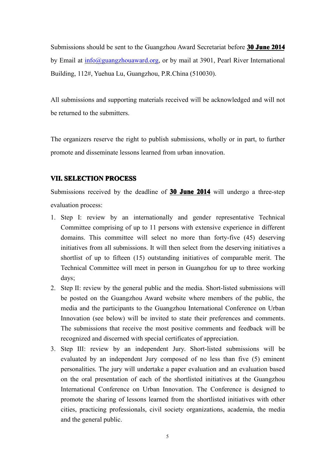Submissions should be sent to the Guangzhou Award Secretariat before **30 June 2014** by Email at  $\frac{info(0, \text{guangzhouaward.org})}{info(1, \text{guangzhouaward.org})}$  or by mail at 3901, Pearl River International Building, 112#, Yuehua Lu, Guangzhou, P.R.China (510030).

All submissions and supporting materials received will be acknowledged and will not be returned to the submitters.

The organizers reserve the right to publish submissions, wholly or in part, to further promote and disseminate lessons learned from urban innovation.

## **VII. SELECTION PROCESS**

Submissions received by the deadline of **30 June 2014** will undergo <sup>a</sup> three-step evaluation process:

- 1. Step I: review by an internationally and gender representative Technical Committee comprising of up to 11 persons with extensive experience in different domains. This committee will select no more than forty-five (45) deserving initiatives from all submissions. It will then select from the deserving initiatives a shortlist of up to fifteen (15) outstanding initiatives of comparable merit. The Technical Committee will meet in person in Guangzhou for up to three working days;
- 2. Step II: review by the general public and the media. Short-listed submissions will be posted on the [Guangzhou](http://www.urban_innovation.org) Award website where members of the public, the media and the participants to the Guangzhou International Conference on Urban Innovation (see below) will be invited to state their preferences and comments. The submissions that receive the most positive comments and feedback will be recognized and discerned with special certificates of appreciation.
- 3. Step III: review by an independent Jury. Short-listed submissions will be evaluated by an independent Jury composed of no less than five (5) eminent personalities. The jury will undertake a paper evaluation and an evaluation based on the oral presentation of each of the shortlisted initiatives at the Guangzhou International Conference on Urban Innovation. The Conference is designed to promote the sharing of lessons learned from the shortlisted initiatives with other cities, practicing professionals, civil society organizations, academia, the media and the general public.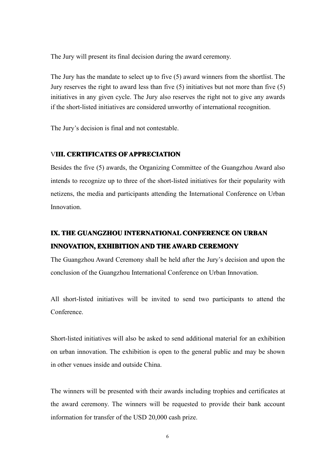The Jury will presen<sup>t</sup> its final decision during the award ceremony.

The Jury has the mandate to select up to five (5) award winners from the shortlist. The Jury reserves the right to award less than five (5) initiatives but not more than five (5) initiatives in any given cycle. The Jury also reserves the right not to give any awards if the short-listed initiatives are considered unworthy of international recognition.

The Jury's decision is final and not contestable.

## V**III. CERTIFICATES CERTIFICATES CERTIFICATES OF APPRECIATION APPRECIATION APPRECIATIONAPPRECIATION**

Besides the five (5) awards, the Organizing Committee of the Guangzhou Award also intends to recognize up to three of the short-listed initiatives for their popularity with netizens, the media and participants attending the International Conference on Urban Innovation.

# **IX. THE GUANGZHOU INTERNATIONAL CONFERENCE ON URBAN INNOVATION, INNOVATION, INNOVATION,EXHIBITION EXHIBITION EXHIBITIONAND THE AWARD CEREMONY CEREMONY CEREMONY**

The Guangzhou Award Ceremony shall be held after the Jury's decision and upon the conclusion of the Guangzhou International Conference on Urban Innovation.

All short-listed initiatives will be invited to send two participants to attend the Conference.

Short-listed initiatives will also be asked to send additional material for an exhibition on urban innovation. The exhibition is open to the general public and may be shown in other venues inside and outside China.

The winners will be presented with their awards including trophies and certificates at the award ceremony. The winners will be requested to provide their bank account information for transfer of the USD 20,000 cash prize.